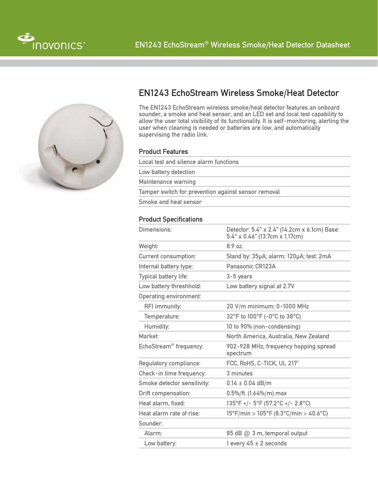



## EN1243 EchoStream Wireless Smoke/Heat Detector

The EN1243 EchoStream wireless smoke/heat detector features an onboard sounder, a smoke and heat sensor, and an LED set and local test capability to allow the user total visibility of its functionality. It is self-monitoring, alerting the user when cleaning is needed or batteries are low, and automatically supervising the radio link.

## Product Features

Local test and silence alarm functions Low battery detection Maintenance warning Tamper switch for prevention against sensor removal

Smoke and heat sensor

## **Product Specifications**

| Dimensions:                        | Detector: 5.4" x 2.4" (14.2cm x 6.1cm) Base:<br>5.4" x 0.46" (13.7cm x 1.17cm)  |
|------------------------------------|---------------------------------------------------------------------------------|
| Weight:                            | 8.9 oz.                                                                         |
| <b>Current consumption:</b>        | Stand by: 35µA; alarm: 120µA; test: 2mA                                         |
| Internal battery type:             | Panasonic CR123A                                                                |
| Typical battery life:              | $3-5$ years                                                                     |
| Low battery threshhold:            | Low battery signal at 2.7V                                                      |
| <b>Operating environment:</b>      |                                                                                 |
| RFI immunity:                      | 20 V/m minimum; 0-1000 MHz                                                      |
| Temperature:                       | 32°F to 100°F (-0°C to 38°C)                                                    |
| Humidity:                          | 10 to 90% (non-condensing)                                                      |
| Market:                            | North America, Australia, New Zealand                                           |
| EchoStream <sup>®</sup> frequency: | 902-928 MHz, frequency hopping spread<br>spectrum                               |
| Regulatory compliance:             | FCC, RoHS, C-TICK, UL 217 <sup>1</sup>                                          |
| Check-in time frequency:           | 3 minutes                                                                       |
| Smoke detector sensitivity:        | $0.14 \pm 0.04$ dB/m                                                            |
| <b>Drift compensation:</b>         | $0.5\%/$ ft. (1.64%/m) max                                                      |
| Heat alarm. fixed:                 | 135°F +/- 5°F (57.2°C +/- 2.8°C)                                                |
| Heat alarm rate of rise:           | $15^{\circ}$ F/min > $105^{\circ}$ F (8.3 $^{\circ}$ C/min > 40.6 $^{\circ}$ C) |
| Sounder:                           |                                                                                 |
| Alarm:                             | 85 dB @ 3 m, temporal output                                                    |
| Low battery:                       | 1 every $45 \pm 2$ seconds                                                      |
|                                    |                                                                                 |